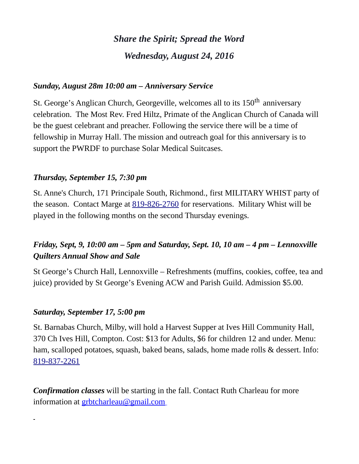# *Share the Spirit; Spread the Word Wednesday, August 24, 2016*

## *Sunday, August 28m 10:00 am – Anniversary Service*

St. George's Anglican Church, Georgeville, welcomes all to its 150<sup>th</sup> anniversary celebration. The Most Rev. Fred Hiltz, Primate of the Anglican Church of Canada will be the guest celebrant and preacher. Following the service there will be a time of fellowship in Murray Hall. The mission and outreach goal for this anniversary is to support the PWRDF to purchase Solar Medical Suitcases.

### *Thursday, September 15, 7:30 pm*

St. Anne's Church, 171 Principale South, Richmond., first MILITARY WHIST party of the season. Contact Marge at [819-826-2760](tel:819-826-2760) for reservations. Military Whist will be played in the following months on the second Thursday evenings.

## *Friday, Sept, 9, 10:00 am – 5pm and Saturday, Sept. 10, 10 am – 4 pm – Lennoxville Quilters Annual Show and Sale*

St George's Church Hall, Lennoxville – Refreshments (muffins, cookies, coffee, tea and juice) provided by St George's Evening ACW and Parish Guild. Admission \$5.00.

### *Saturday, September 17, 5:00 pm*

St. Barnabas Church, Milby, will hold a Harvest Supper at Ives Hill Community Hall, 370 Ch Ives Hill, Compton. Cost: \$13 for Adults, \$6 for children 12 and under. Menu: ham, scalloped potatoes, squash, baked beans, salads, home made rolls & dessert. Info: [819-837-2261](tel:819-837-2261)

*Confirmation classes* will be starting in the fall. Contact Ruth Charleau for more information at **grbtcharleau@gmail.com**